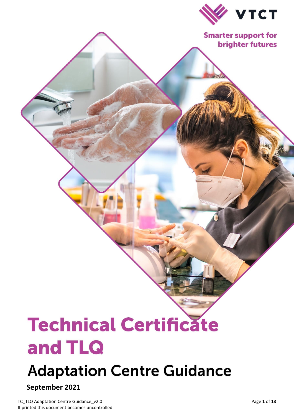

**Smarter support for brighter futures** 

# **Technical Certificate** and TLQ

# **Adaptation Centre Guidance**

# **September 2021**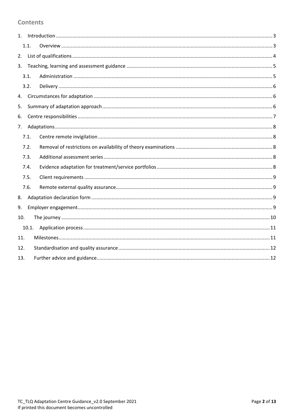#### **Contents**

|     | 1.1.  |  |  |  |
|-----|-------|--|--|--|
| 2.  |       |  |  |  |
| 3.  |       |  |  |  |
|     | 3.1.  |  |  |  |
|     | 3.2.  |  |  |  |
| 4.  |       |  |  |  |
| 5.  |       |  |  |  |
| 6.  |       |  |  |  |
| 7.  |       |  |  |  |
|     | 7.1.  |  |  |  |
|     | 7.2.  |  |  |  |
|     | 7.3.  |  |  |  |
|     | 7.4.  |  |  |  |
|     | 7.5.  |  |  |  |
|     | 7.6.  |  |  |  |
| 8.  |       |  |  |  |
| 9.  |       |  |  |  |
| 10. |       |  |  |  |
|     | 10.1. |  |  |  |
| 11. |       |  |  |  |
| 12. |       |  |  |  |
| 13. |       |  |  |  |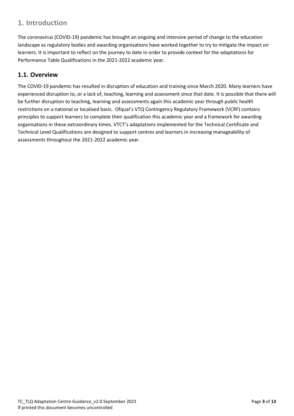# <span id="page-2-0"></span>**1. Introduction**

The coronavirus (COVID-19) pandemic has brought an ongoing and intensive period of change to the education landscape as regulatory bodies and awarding organisations have worked together to try to mitigate the impact on learners. It is important to reflect on the journey to date in order to provide context for the adaptations for Performance Table Qualifications in the 2021-2022 academic year.

#### <span id="page-2-1"></span>**1.1. Overview**

The COVID-19 pandemic has resulted in disruption of education and training since March 2020. Many learners have experienced disruption to, or a lack of, teaching, learning and assessment since that date. It is possible that there will be further disruption to teaching, learning and assessments again this academic year through public health restrictions on a national or localised basis. Ofqual's VTQ Contingency Regulatory Framework (VCRF) contains principles to support learners to complete their qualification this academic year and a framework for awarding organisations in these extraordinary times. VTCT's adaptations implemented for the Technical Certificate and Technical Level Qualifications are designed to support centres and learners in increasing manageability of assessments throughout the 2021-2022 academic year.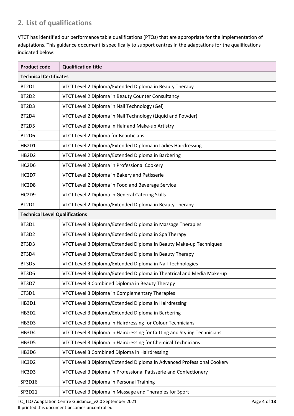# <span id="page-3-0"></span>**2. List of qualifications**

VTCT has identified our performance table qualifications (PTQs) that are appropriate for the implementation of adaptations. This guidance document is specifically to support centres in the adaptations for the qualifications indicated below:

| <b>Product code</b>                   | <b>Qualification title</b>                                               |  |  |
|---------------------------------------|--------------------------------------------------------------------------|--|--|
| <b>Technical Certificates</b>         |                                                                          |  |  |
| BT2D1                                 | VTCT Level 2 Diploma/Extended Diploma in Beauty Therapy                  |  |  |
| BT2D2                                 | VTCT Level 2 Diploma in Beauty Counter Consultancy                       |  |  |
| BT2D3                                 | VTCT Level 2 Diploma in Nail Technology (Gel)                            |  |  |
| BT2D4                                 | VTCT Level 2 Diploma in Nail Technology (Liquid and Powder)              |  |  |
| BT2D5                                 | VTCT Level 2 Diploma in Hair and Make-up Artistry                        |  |  |
| BT2D6                                 | VTCT Level 2 Diploma for Beauticians                                     |  |  |
| <b>HB2D1</b>                          | VTCT Level 2 Diploma/Extended Diploma in Ladies Hairdressing             |  |  |
| <b>HB2D2</b>                          | VTCT Level 2 Diploma/Extended Diploma in Barbering                       |  |  |
| HC2D6                                 | VTCT Level 2 Diploma in Professional Cookery                             |  |  |
| HC2D7                                 | VTCT Level 2 Diploma in Bakery and Patisserie                            |  |  |
| HC2D8                                 | VTCT Level 2 Diploma in Food and Beverage Service                        |  |  |
| HC2D9                                 | VTCT Level 2 Diploma in General Catering Skills                          |  |  |
| BT2D1                                 | VTCT Level 2 Diploma/Extended Diploma in Beauty Therapy                  |  |  |
| <b>Technical Level Qualifications</b> |                                                                          |  |  |
| BT3D1                                 | VTCT Level 3 Diploma/Extended Diploma in Massage Therapies               |  |  |
| BT3D2                                 | VTCT Level 3 Diploma/Extended Diploma in Spa Therapy                     |  |  |
| BT3D3                                 | VTCT Level 3 Diploma/Extended Diploma in Beauty Make-up Techniques       |  |  |
| BT3D4                                 | VTCT Level 3 Diploma/Extended Diploma in Beauty Therapy                  |  |  |
| BT3D5                                 | VTCT Level 3 Diploma/Extended Diploma in Nail Technologies               |  |  |
| BT3D6                                 | VTCT Level 3 Diploma/Extended Diploma in Theatrical and Media Make-up    |  |  |
| BT3D7                                 | VTCT Level 3 Combined Diploma in Beauty Therapy                          |  |  |
| CT3D1                                 | VTCT Level 3 Diploma in Complementary Therapies                          |  |  |
| <b>HB3D1</b>                          | VTCT Level 3 Diploma/Extended Diploma in Hairdressing                    |  |  |
| HB3D2                                 | VTCT Level 3 Diploma/Extended Diploma in Barbering                       |  |  |
| HB3D3                                 | VTCT Level 3 Diploma in Hairdressing for Colour Technicians              |  |  |
| <b>HB3D4</b>                          | VTCT Level 3 Diploma in Hairdressing for Cutting and Styling Technicians |  |  |
| <b>HB3D5</b>                          | VTCT Level 3 Diploma in Hairdressing for Chemical Technicians            |  |  |
| <b>HB3D6</b>                          | VTCT Level 3 Combined Diploma in Hairdressing                            |  |  |
| HC3D2                                 | VTCT Level 3 Diploma/Extended Diploma in Advanced Professional Cookery   |  |  |
| HC3D3                                 | VTCT Level 3 Diploma in Professional Patisserie and Confectionery        |  |  |
| SP3D16                                | VTCT Level 3 Diploma in Personal Training                                |  |  |
| SP3D21                                | VTCT Level 3 Diploma in Massage and Therapies for Sport                  |  |  |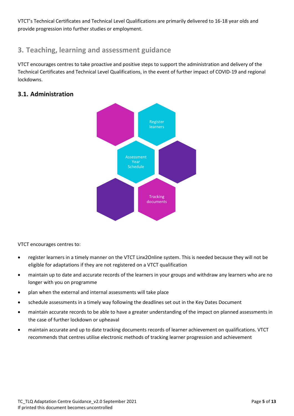VTCT's Technical Certificates and Technical Level Qualifications are primarily delivered to 16-18 year olds and provide progression into further studies or employment.

# <span id="page-4-0"></span>**3. Teaching, learning and assessment guidance**

VTCT encourages centres to take proactive and positive steps to support the administration and delivery of the Technical Certificates and Technical Level Qualifications, in the event of further impact of COVID-19 and regional lockdowns.

## <span id="page-4-1"></span>**3.1. Administration**



VTCT encourages centres to:

- register learners in a timely manner on the VTCT Linx2Online system. This is needed because they will not be eligible for adaptations if they are not registered on a VTCT qualification
- maintain up to date and accurate records of the learners in your groups and withdraw any learners who are no longer with you on programme
- plan when the external and internal assessments will take place
- schedule assessments in a timely way following the deadlines set out in the Key Dates Document
- maintain accurate records to be able to have a greater understanding of the impact on planned assessments in the case of further lockdown or upheaval
- maintain accurate and up to date tracking documents records of learner achievement on qualifications. VTCT recommends that centres utilise electronic methods of tracking learner progression and achievement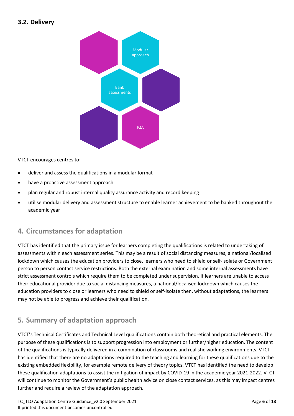#### <span id="page-5-0"></span>**3.2. Delivery**



VTCT encourages centres to:

- deliver and assess the qualifications in a modular format
- have a proactive assessment approach
- plan regular and robust internal quality assurance activity and record keeping
- utilise modular delivery and assessment structure to enable learner achievement to be banked throughout the academic year

# <span id="page-5-1"></span>**4. Circumstances for adaptation**

VTCT has identified that the primary issue for learners completing the qualifications is related to undertaking of assessments within each assessment series. This may be a result of social distancing measures, a national/localised lockdown which causes the education providers to close, learners who need to shield or self-isolate or Government person to person contact service restrictions. Both the external examination and some internal assessments have strict assessment controls which require them to be completed under supervision. If learners are unable to access their educational provider due to social distancing measures, a national/localised lockdown which causes the education providers to close or learners who need to shield or self-isolate then, without adaptations, the learners may not be able to progress and achieve their qualification.

# <span id="page-5-2"></span>**5. Summary of adaptation approach**

VTCT's Technical Certificates and Technical Level qualifications contain both theoretical and practical elements. The purpose of these qualifications is to support progression into employment or further/higher education. The content of the qualifications is typically delivered in a combination of classrooms and realistic working environments. VTCT has identified that there are no adaptations required to the teaching and learning for these qualifications due to the existing embedded flexibility, for example remote delivery of theory topics. VTCT has identified the need to develop these qualification adaptations to assist the mitigation of impact by COVID-19 in the academic year 2021-2022. VTCT will continue to monitor the Government's public health advice on close contact services, as this may impact centres further and require a review of the adaptation approach.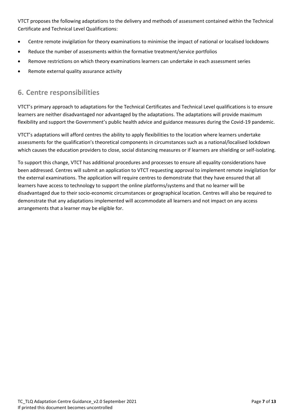VTCT proposes the following adaptations to the delivery and methods of assessment contained within the Technical Certificate and Technical Level Qualifications:

- Centre remote invigilation for theory examinations to minimise the impact of national or localised lockdowns
- Reduce the number of assessments within the formative treatment/service portfolios
- Remove restrictions on which theory examinations learners can undertake in each assessment series
- <span id="page-6-0"></span>Remote external quality assurance activity

# **6. Centre responsibilities**

VTCT's primary approach to adaptations for the Technical Certificates and Technical Level qualifications is to ensure learners are neither disadvantaged nor advantaged by the adaptations. The adaptations will provide maximum flexibility and support the Government's public health advice and guidance measures during the Covid-19 pandemic.

VTCT's adaptations will afford centres the ability to apply flexibilities to the location where learners undertake assessments for the qualification's theoretical components in circumstances such as a national/localised lockdown which causes the education providers to close, social distancing measures or if learners are shielding or self-isolating.

To support this change, VTCT has additional procedures and processes to ensure all equality considerations have been addressed. Centres will submit an application to VTCT requesting approval to implement remote invigilation for the external examinations. The application will require centres to demonstrate that they have ensured that all learners have access to technology to support the online platforms/systems and that no learner will be disadvantaged due to their socio-economic circumstances or geographical location. Centres will also be required to demonstrate that any adaptations implemented will accommodate all learners and not impact on any access arrangements that a learner may be eligible for.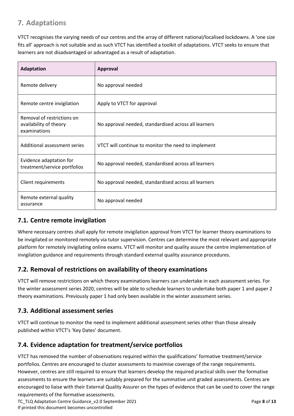# <span id="page-7-0"></span>**7. Adaptations**

VTCT recognises the varying needs of our centres and the array of different national/localised lockdowns. A 'one size fits all' approach is not suitable and as such VTCT has identified a toolkit of adaptations. VTCT seeks to ensure that learners are not disadvantaged or advantaged as a result of adaptation.

| <b>Adaptation</b>                                                    | <b>Approval</b>                                      |
|----------------------------------------------------------------------|------------------------------------------------------|
| Remote delivery                                                      | No approval needed                                   |
| Remote centre invigilation                                           | Apply to VTCT for approval                           |
| Removal of restrictions on<br>availability of theory<br>examinations | No approval needed, standardised across all learners |
| Additional assessment series                                         | VTCT will continue to monitor the need to implement  |
| Evidence adaptation for<br>treatment/service portfolios              | No approval needed, standardised across all learners |
| Client requirements                                                  | No approval needed, standardised across all learners |
| Remote external quality<br>assurance                                 | No approval needed                                   |

# <span id="page-7-1"></span>**7.1. Centre remote invigilation**

Where necessary centres shall apply for remote invigilation approval from VTCT for learner theory examinations to be invigilated or monitored remotely via tutor supervision. Centres can determine the most relevant and appropriate platform for remotely invigilating online exams. VTCT will monitor and quality assure the centre implementation of invigilation guidance and requirements through standard external quality assurance procedures.

#### <span id="page-7-2"></span>**7.2. Removal of restrictions on availability of theory examinations**

VTCT will remove restrictions on which theory examinations learners can undertake in each assessment series. For the winter assessment series 2020, centres will be able to schedule learners to undertake both paper 1 and paper 2 theory examinations. Previously paper 1 had only been available in the winter assessment series.

#### <span id="page-7-3"></span>**7.3. Additional assessment series**

VTCT will continue to monitor the need to implement additional assessment series other than those already published within VTCT's 'Key Dates' document.

#### <span id="page-7-4"></span>**7.4. Evidence adaptation for treatment/service portfolios**

VTCT has removed the number of observations required within the qualifications' formative treatment/service portfolios. Centres are encouraged to cluster assessments to maximise coverage of the range requirements. However, centres are still required to ensure that learners develop the required practical skills over the formative assessments to ensure the learners are suitably prepared for the summative unit graded assessments. Centres are encouraged to liaise with their External Quality Assurer on the types of evidence that can be used to cover the range requirements of the formative assessments.

TC\_TLQ Adaptation Centre Guidance\_v2.0 September 2021 **Page 8** of 13 If printed this document becomes uncontrolled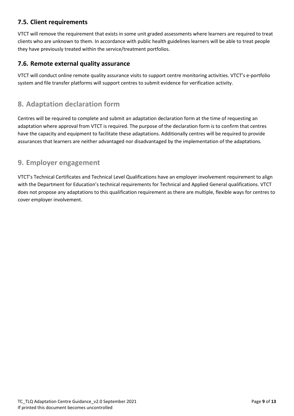#### <span id="page-8-0"></span>**7.5. Client requirements**

VTCT will remove the requirement that exists in some unit graded assessments where learners are required to treat clients who are unknown to them. In accordance with public health guidelines learners will be able to treat people they have previously treated within the service/treatment portfolios.

#### <span id="page-8-1"></span>**7.6. Remote external quality assurance**

VTCT will conduct online remote quality assurance visits to support centre monitoring activities. VTCT's e-portfolio system and file transfer platforms will support centres to submit evidence for verification activity.

# <span id="page-8-2"></span>**8. Adaptation declaration form**

Centres will be required to complete and submit an adaptation declaration form at the time of requesting an adaptation where approval from VTCT is required. The purpose of the declaration form is to confirm that centres have the capacity and equipment to facilitate these adaptations. Additionally centres will be required to provide assurances that learners are neither advantaged nor disadvantaged by the implementation of the adaptations.

### <span id="page-8-3"></span>**9. Employer engagement**

VTCT's Technical Certificates and Technical Level Qualifications have an employer involvement requirement to align with the Department for Education's technical requirements for Technical and Applied General qualifications. VTCT does not propose any adaptations to this qualification requirement as there are multiple, flexible ways for centres to cover employer involvement.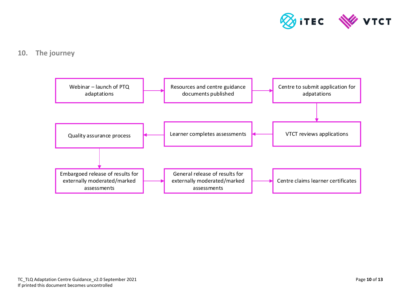

#### **10. The journey**

<span id="page-9-0"></span>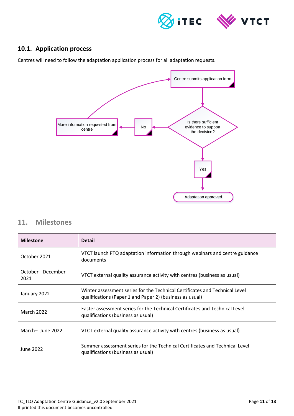

#### <span id="page-10-0"></span>**10.1. Application process**

Centres will need to follow the adaptation application process for all adaptation requests.



#### <span id="page-10-1"></span>**11. Milestones**

| <b>Milestone</b>           | <b>Detail</b>                                                                                                                           |
|----------------------------|-----------------------------------------------------------------------------------------------------------------------------------------|
| October 2021               | VTCT launch PTQ adaptation information through webinars and centre guidance<br>documents                                                |
| October - December<br>2021 | VTCT external quality assurance activity with centres (business as usual)                                                               |
| January 2022               | Winter assessment series for the Technical Certificates and Technical Level<br>qualifications (Paper 1 and Paper 2) (business as usual) |
| <b>March 2022</b>          | Easter assessment series for the Technical Certificates and Technical Level<br>qualifications (business as usual)                       |
| March-June 2022            | VTCT external quality assurance activity with centres (business as usual)                                                               |
| June 2022                  | Summer assessment series for the Technical Certificates and Technical Level<br>qualifications (business as usual)                       |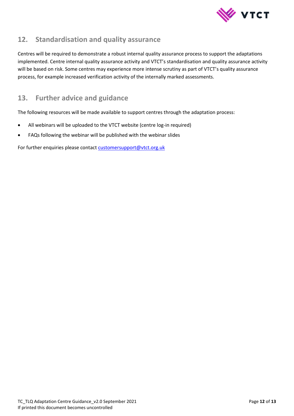

# <span id="page-11-0"></span>**12. Standardisation and quality assurance**

Centres will be required to demonstrate a robust internal quality assurance process to support the adaptations implemented. Centre internal quality assurance activity and VTCT's standardisation and quality assurance activity will be based on risk. Some centres may experience more intense scrutiny as part of VTCT's quality assurance process, for example increased verification activity of the internally marked assessments.

# <span id="page-11-1"></span>**13. Further advice and guidance**

The following resources will be made available to support centres through the adaptation process:

- All webinars will be uploaded to the VTCT website (centre log-in required)
- FAQs following the webinar will be published with the webinar slides

For further enquiries please contact customersupport@vtct.org.uk